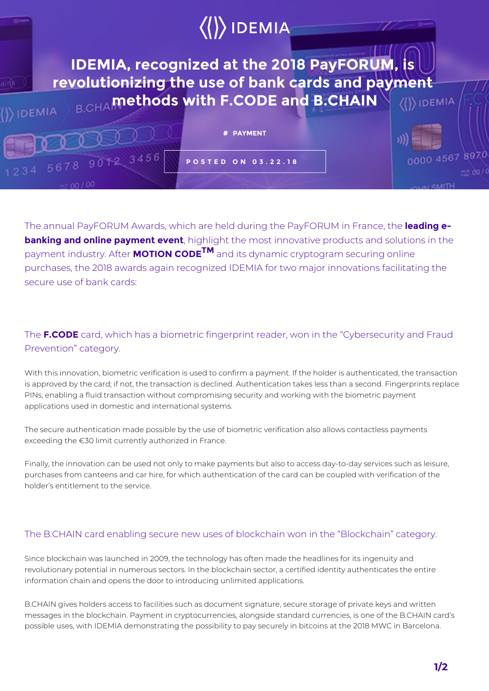

The annual PayFORUM Awards, which are held during the PayFORUM in France, the **leading ebanking and online payment event**, highlight the most innovative products and solutions in the payment industry. After **MOTION CODETM** and its dynamic cryptogram securing online purchases, the 2018 awards again recognized IDEMIA for two major innovations facilitating the secure use of bank cards:

## The **F.CODE** card, which has a biometric fingerprint reader, won in the "Cybersecurity and Fraud Prevention" category.

With this innovation, biometric verification is used to confirm a payment. If the holder is authenticated, the transaction is approved by the card; if not, the transaction is declined. Authentication takes less than a second. Fingerprints replace PINs, enabling a fluid transaction without compromising security and working with the biometric payment applications used in domestic and international systems.

The secure authentication made possible by the use of biometric verification also allows contactless payments exceeding the €30 limit currently authorized in France.

Finally, the innovation can be used not only to make payments but also to access day-to-day services such as leisure, purchases from canteens and car hire, for which authentication of the card can be coupled with verification of the holder's entitlement to the service.

## The B.CHAIN card enabling secure new uses of blockchain won in the "Blockchain" category.

Since blockchain was launched in 2009, the technology has often made the headlines for its ingenuity and revolutionary potential in numerous sectors. In the blockchain sector, a certified identity authenticates the entire information chain and opens the door to introducing unlimited applications.

B.CHAIN gives holders access to facilities such as document signature, secure storage of private keys and written messages in the blockchain. Payment in cryptocurrencies, alongside standard currencies, is one of the B.CHAIN card's possible uses, with IDEMIA demonstrating the possibility to pay securely in bitcoins at the 2018 MWC in Barcelona.